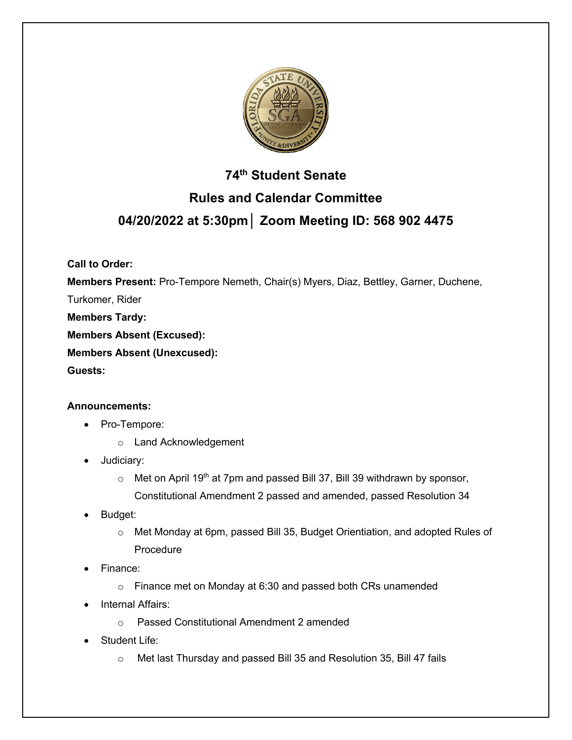

# **74th Student Senate Rules and Calendar Committee 04/20/2022 at 5:30pm│ Zoom Meeting ID: 568 902 4475**

**Call to Order:** 

**Members Present:** Pro-Tempore Nemeth, Chair(s) Myers, Diaz, Bettley, Garner, Duchene,

Turkomer, Rider

**Members Tardy:**

**Members Absent (Excused):** 

**Members Absent (Unexcused):**

**Guests:** 

### **Announcements:**

- Pro-Tempore:
	- o Land Acknowledgement
- Judiciary:
	- $\circ$  Met on April 19<sup>th</sup> at 7pm and passed Bill 37, Bill 39 withdrawn by sponsor, Constitutional Amendment 2 passed and amended, passed Resolution 34
- Budget:
	- o Met Monday at 6pm, passed Bill 35, Budget Orientiation, and adopted Rules of Procedure
- Finance:
	- o Finance met on Monday at 6:30 and passed both CRs unamended
- Internal Affairs:
	- o Passed Constitutional Amendment 2 amended
- Student Life:
	- o Met last Thursday and passed Bill 35 and Resolution 35, Bill 47 fails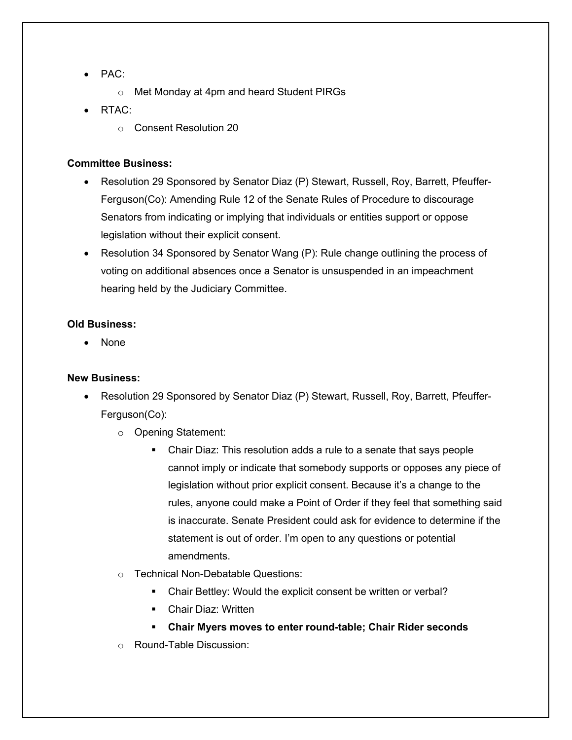- PAC:
	- o Met Monday at 4pm and heard Student PIRGs
- RTAC:
	- o Consent Resolution 20

#### **Committee Business:**

- Resolution 29 Sponsored by Senator Diaz (P) Stewart, Russell, Roy, Barrett, Pfeuffer-Ferguson(Co): Amending Rule 12 of the Senate Rules of Procedure to discourage Senators from indicating or implying that individuals or entities support or oppose legislation without their explicit consent.
- Resolution 34 Sponsored by Senator Wang (P): Rule change outlining the process of voting on additional absences once a Senator is unsuspended in an impeachment hearing held by the Judiciary Committee.

#### **Old Business:**

• None

### **New Business:**

- Resolution 29 Sponsored by Senator Diaz (P) Stewart, Russell, Roy, Barrett, Pfeuffer-Ferguson(Co):
	- o Opening Statement:
		- Chair Diaz: This resolution adds a rule to a senate that says people cannot imply or indicate that somebody supports or opposes any piece of legislation without prior explicit consent. Because it's a change to the rules, anyone could make a Point of Order if they feel that something said is inaccurate. Senate President could ask for evidence to determine if the statement is out of order. I'm open to any questions or potential amendments.
	- o Technical Non-Debatable Questions:
		- Chair Bettley: Would the explicit consent be written or verbal?
		- § Chair Diaz: Written
		- § **Chair Myers moves to enter round-table; Chair Rider seconds**
	- o Round-Table Discussion: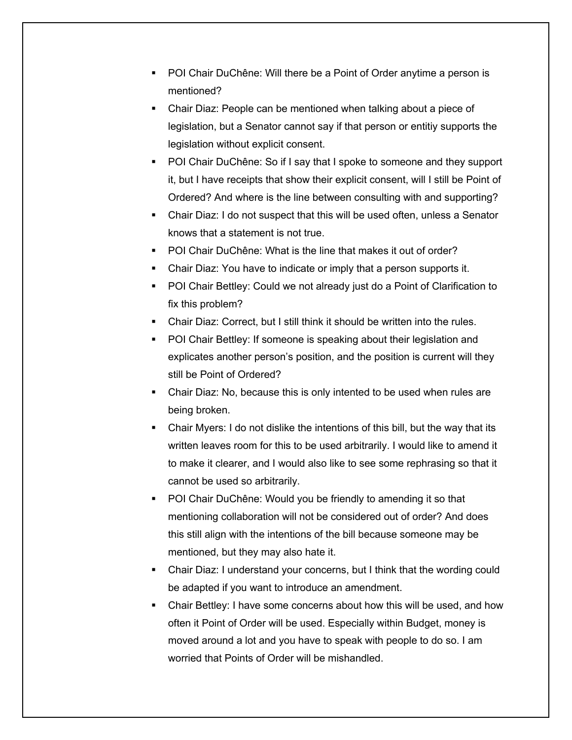- § POI Chair DuChêne: Will there be a Point of Order anytime a person is mentioned?
- Chair Diaz: People can be mentioned when talking about a piece of legislation, but a Senator cannot say if that person or entitiy supports the legislation without explicit consent.
- § POI Chair DuChêne: So if I say that I spoke to someone and they support it, but I have receipts that show their explicit consent, will I still be Point of Ordered? And where is the line between consulting with and supporting?
- Chair Diaz: I do not suspect that this will be used often, unless a Senator knows that a statement is not true.
- POI Chair DuChêne: What is the line that makes it out of order?
- § Chair Diaz: You have to indicate or imply that a person supports it.
- POI Chair Bettley: Could we not already just do a Point of Clarification to fix this problem?
- § Chair Diaz: Correct, but I still think it should be written into the rules.
- POI Chair Bettley: If someone is speaking about their legislation and explicates another person's position, and the position is current will they still be Point of Ordered?
- § Chair Diaz: No, because this is only intented to be used when rules are being broken.
- Chair Myers: I do not dislike the intentions of this bill, but the way that its written leaves room for this to be used arbitrarily. I would like to amend it to make it clearer, and I would also like to see some rephrasing so that it cannot be used so arbitrarily.
- § POI Chair DuChêne: Would you be friendly to amending it so that mentioning collaboration will not be considered out of order? And does this still align with the intentions of the bill because someone may be mentioned, but they may also hate it.
- Chair Diaz: I understand your concerns, but I think that the wording could be adapted if you want to introduce an amendment.
- Chair Bettley: I have some concerns about how this will be used, and how often it Point of Order will be used. Especially within Budget, money is moved around a lot and you have to speak with people to do so. I am worried that Points of Order will be mishandled.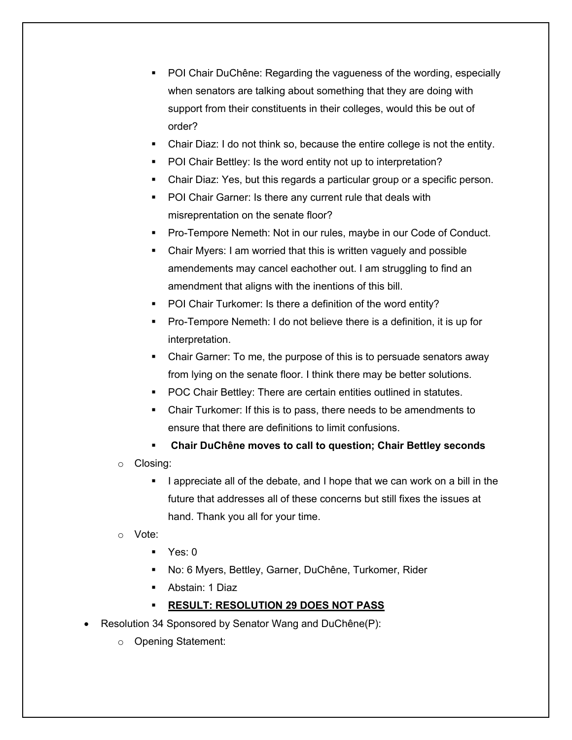- § POI Chair DuChêne: Regarding the vagueness of the wording, especially when senators are talking about something that they are doing with support from their constituents in their colleges, would this be out of order?
- Chair Diaz: I do not think so, because the entire college is not the entity.
- § POI Chair Bettley: Is the word entity not up to interpretation?
- Chair Diaz: Yes, but this regards a particular group or a specific person.
- POI Chair Garner: Is there any current rule that deals with misreprentation on the senate floor?
- § Pro-Tempore Nemeth: Not in our rules, maybe in our Code of Conduct.
- § Chair Myers: I am worried that this is written vaguely and possible amendements may cancel eachother out. I am struggling to find an amendment that aligns with the inentions of this bill.
- § POI Chair Turkomer: Is there a definition of the word entity?
- § Pro-Tempore Nemeth: I do not believe there is a definition, it is up for interpretation.
- Chair Garner: To me, the purpose of this is to persuade senators away from lying on the senate floor. I think there may be better solutions.
- § POC Chair Bettley: There are certain entities outlined in statutes.
- § Chair Turkomer: If this is to pass, there needs to be amendments to ensure that there are definitions to limit confusions.
- § **Chair DuChêne moves to call to question; Chair Bettley seconds**
- o Closing:
	- § I appreciate all of the debate, and I hope that we can work on a bill in the future that addresses all of these concerns but still fixes the issues at hand. Thank you all for your time.
- o Vote:
	- $\blacksquare$  Yes: 0
	- § No: 6 Myers, Bettley, Garner, DuChêne, Turkomer, Rider
	- § Abstain: 1 Diaz
	- § **RESULT: RESOLUTION 29 DOES NOT PASS**
- Resolution 34 Sponsored by Senator Wang and DuChêne(P):
	- o Opening Statement: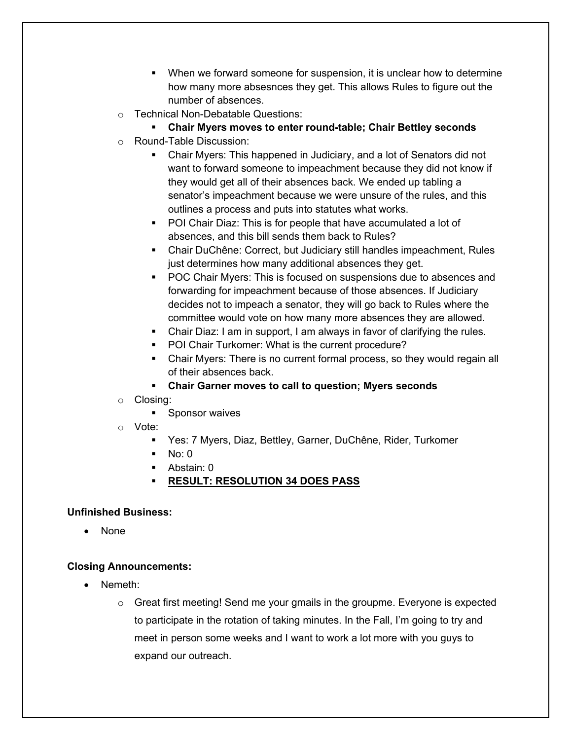- § When we forward someone for suspension, it is unclear how to determine how many more absesnces they get. This allows Rules to figure out the number of absences.
- o Technical Non-Debatable Questions:

## § **Chair Myers moves to enter round-table; Chair Bettley seconds**

- o Round-Table Discussion:
	- Chair Myers: This happened in Judiciary, and a lot of Senators did not want to forward someone to impeachment because they did not know if they would get all of their absences back. We ended up tabling a senator's impeachment because we were unsure of the rules, and this outlines a process and puts into statutes what works.
	- POI Chair Diaz: This is for people that have accumulated a lot of absences, and this bill sends them back to Rules?
	- § Chair DuChêne: Correct, but Judiciary still handles impeachment, Rules just determines how many additional absences they get.
	- POC Chair Myers: This is focused on suspensions due to absences and forwarding for impeachment because of those absences. If Judiciary decides not to impeach a senator, they will go back to Rules where the committee would vote on how many more absences they are allowed.
	- Chair Diaz: I am in support, I am always in favor of clarifying the rules.
	- POI Chair Turkomer: What is the current procedure?
	- Chair Myers: There is no current formal process, so they would regain all of their absences back.
	- § **Chair Garner moves to call to question; Myers seconds**
- o Closing:
	- Sponsor waives
- o Vote:
	- § Yes: 7 Myers, Diaz, Bettley, Garner, DuChêne, Rider, Turkomer
	- $\blacksquare$  No: 0
	- § Abstain: 0
	- § **RESULT: RESOLUTION 34 DOES PASS**

### **Unfinished Business:**

• None

### **Closing Announcements:**

- Nemeth:
	- $\circ$  Great first meeting! Send me your gmails in the groupme. Everyone is expected to participate in the rotation of taking minutes. In the Fall, I'm going to try and meet in person some weeks and I want to work a lot more with you guys to expand our outreach.